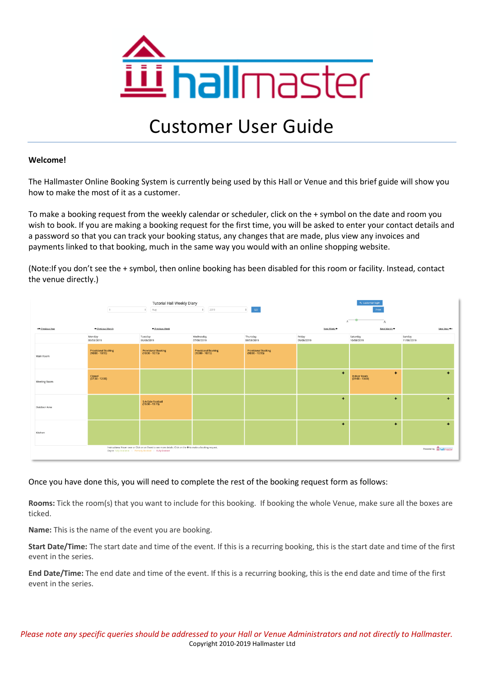

# Customer User Guide

# **Welcome!**

The Hallmaster Online Booking System is currently being used by this Hall or Venue and this brief guide will show you how to make the most of it as a customer.

To make a booking request from the weekly calendar or scheduler, click on the + symbol on the date and room you wish to book. If you are making a booking request for the first time, you will be asked to enter your contact details and a password so that you can track your booking status, any changes that are made, plus view any invoices and payments linked to that booking, much in the same way you would with an online shopping website.

(Note:If you don't see the + symbol, then online booking has been disabled for this room or facility. Instead, contact the venue directly.)

|                  | $\overline{9}$                                           | <b>Tutorial Hall Weekly Diary</b><br>$\uparrow$ Aug                                                                        | 2019<br>$\ddot{\phantom{a}}$<br>$\frac{1}{2}$ | <b>4</b> customer login<br>Print       |                      |                                              |                                  |  |
|------------------|----------------------------------------------------------|----------------------------------------------------------------------------------------------------------------------------|-----------------------------------------------|----------------------------------------|----------------------|----------------------------------------------|----------------------------------|--|
| «+ Previous Year | + Previous Month                                         | + Previous Week                                                                                                            |                                               |                                        | A<br>Next Week +     | Next Year +>                                 |                                  |  |
|                  | Monday<br>05/08/2019                                     | Tuesday<br>06/08/2019                                                                                                      | Wednesday<br>07/08/2019                       | Thursday<br>08/08/2019                 | Friday<br>09/08/2019 | Saturday<br>10/08/2019                       | Sunday<br>11/08/2019             |  |
| Main Room        | Provisional Booking<br>(10:00 - 10:15)                   | Provisional Booking<br>(10:00 - 10:15)                                                                                     | Provisional Booking<br>(10:00 - 10:15)        | Provisional Booking<br>(10:00 - 10:15) |                      |                                              |                                  |  |
| Meeting Room     | Closed<br>(07:30 - 12:00)                                |                                                                                                                            |                                               |                                        | $\ddot{}$            | $\ddot{}$<br>Indoor Bowls<br>(09:00 - 13:00) | $\ddot{}$                        |  |
| Outdoor Area     |                                                          | 5-A-Side Football<br>(13:00 - 13:15)                                                                                       |                                               |                                        | $\ddot{}$            | $\ddot{}$                                    | ٠                                |  |
| Kitchen          |                                                          |                                                                                                                            |                                               |                                        | $\ddot{}$            | $\ddot{}$                                    | $\ddot{}$                        |  |
|                  | Day is Fully Available - Partially Booked - Fully Booked | Instructions: Hover over or Click on an Event to see more details. Click on the $\blacklozenge$ to make a booking request. |                                               |                                        |                      |                                              | Powered by <b>ILL</b> hallmaster |  |

# Once you have done this, you will need to complete the rest of the booking request form as follows:

**Rooms:** Tick the room(s) that you want to include for this booking. If booking the whole Venue, make sure all the boxes are ticked.

**Name:** This is the name of the event you are booking.

**Start Date/Time:** The start date and time of the event. If this is a recurring booking, this is the start date and time of the first event in the series.

**End Date/Time:** The end date and time of the event. If this is a recurring booking, this is the end date and time of the first event in the series.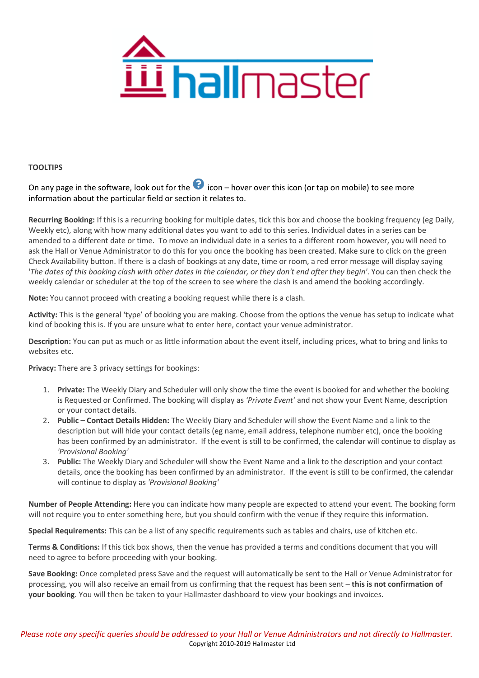

## **TOOLTIPS**

On any page in the software, look out for the  $\Omega$  icon – hover over this icon (or tap on mobile) to see more information about the particular field or section it relates to.

**Recurring Booking:** If this is a recurring booking for multiple dates, tick this box and choose the booking frequency (eg Daily, Weekly etc), along with how many additional dates you want to add to this series. Individual dates in a series can be amended to a different date or time. To move an individual date in a series to a different room however, you will need to ask the Hall or Venue Administrator to do this for you once the booking has been created. Make sure to click on the green Check Availability button. If there is a clash of bookings at any date, time or room, a red error message will display saying '*The dates of this booking clash with other dates in the calendar, or they don't end after they begin'*. You can then check the weekly calendar or scheduler at the top of the screen to see where the clash is and amend the booking accordingly.

**Note:** You cannot proceed with creating a booking request while there is a clash.

**Activity:** This is the general 'type' of booking you are making. Choose from the options the venue has setup to indicate what kind of booking this is. If you are unsure what to enter here, contact your venue administrator.

**Description:** You can put as much or as little information about the event itself, including prices, what to bring and links to websites etc.

**Privacy:** There are 3 privacy settings for bookings:

- 1. **Private:** The Weekly Diary and Scheduler will only show the time the event is booked for and whether the booking is Requested or Confirmed. The booking will display as *'Private Event'* and not show your Event Name, description or your contact details.
- 2. **Public – Contact Details Hidden:** The Weekly Diary and Scheduler will show the Event Name and a link to the description but will hide your contact details (eg name, email address, telephone number etc), once the booking has been confirmed by an administrator. If the event is still to be confirmed, the calendar will continue to display as *'Provisional Booking'*
- 3. **Public:** The Weekly Diary and Scheduler will show the Event Name and a link to the description and your contact details, once the booking has been confirmed by an administrator. If the event is still to be confirmed, the calendar will continue to display as *'Provisional Booking'*

**Number of People Attending:** Here you can indicate how many people are expected to attend your event. The booking form will not require you to enter something here, but you should confirm with the venue if they require this information.

**Special Requirements:** This can be a list of any specific requirements such as tables and chairs, use of kitchen etc.

**Terms & Conditions:** If this tick box shows, then the venue has provided a terms and conditions document that you will need to agree to before proceeding with your booking.

**Save Booking:** Once completed press Save and the request will automatically be sent to the Hall or Venue Administrator for processing, you will also receive an email from us confirming that the request has been sent – **this is not confirmation of your booking**. You will then be taken to your Hallmaster dashboard to view your bookings and invoices.